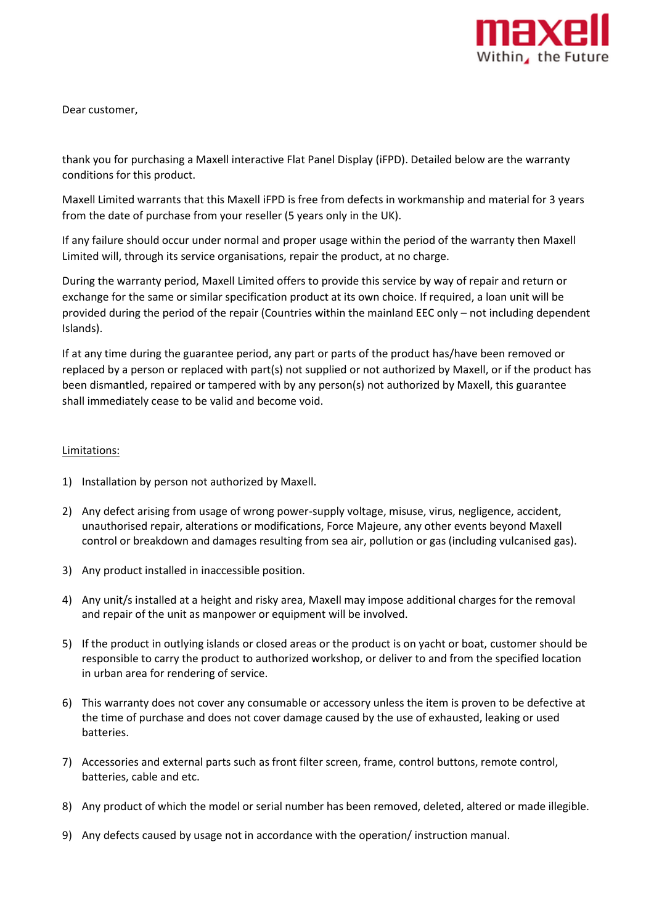

Dear customer,

thank you for purchasing a Maxell interactive Flat Panel Display (iFPD). Detailed below are the warranty conditions for this product.

Maxell Limited warrants that this Maxell iFPD is free from defects in workmanship and material for 3 years from the date of purchase from your reseller (5 years only in the UK).

If any failure should occur under normal and proper usage within the period of the warranty then Maxell Limited will, through its service organisations, repair the product, at no charge.

During the warranty period, Maxell Limited offers to provide this service by way of repair and return or exchange for the same or similar specification product at its own choice. If required, a loan unit will be provided during the period of the repair (Countries within the mainland EEC only – not including dependent Islands).

If at any time during the guarantee period, any part or parts of the product has/have been removed or replaced by a person or replaced with part(s) not supplied or not authorized by Maxell, or if the product has been dismantled, repaired or tampered with by any person(s) not authorized by Maxell, this guarantee shall immediately cease to be valid and become void.

## Limitations:

- 1) Installation by person not authorized by Maxell.
- 2) Any defect arising from usage of wrong power-supply voltage, misuse, virus, negligence, accident, unauthorised repair, alterations or modifications, Force Majeure, any other events beyond Maxell control or breakdown and damages resulting from sea air, pollution or gas (including vulcanised gas).
- 3) Any product installed in inaccessible position.
- 4) Any unit/s installed at a height and risky area, Maxell may impose additional charges for the removal and repair of the unit as manpower or equipment will be involved.
- 5) If the product in outlying islands or closed areas or the product is on yacht or boat, customer should be responsible to carry the product to authorized workshop, or deliver to and from the specified location in urban area for rendering of service.
- 6) This warranty does not cover any consumable or accessory unless the item is proven to be defective at the time of purchase and does not cover damage caused by the use of exhausted, leaking or used batteries.
- 7) Accessories and external parts such as front filter screen, frame, control buttons, remote control, batteries, cable and etc.
- 8) Any product of which the model or serial number has been removed, deleted, altered or made illegible.
- 9) Any defects caused by usage not in accordance with the operation/ instruction manual.